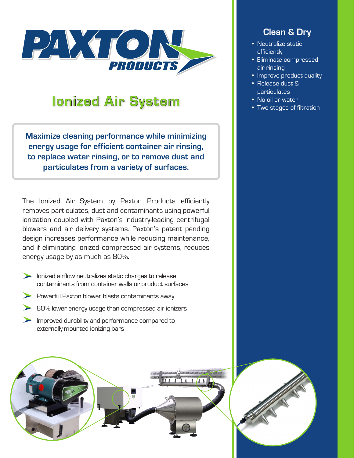

# **Ionized Air System**

**Maximize cleaning performance while minimizing energy usage for efficient container air rinsing, to replace water rinsing, or to remove dust and particulates from a variety of surfaces.**

The Ionized Air System by Paxton Products efficiently removes particulates, dust and contaminants using powerful ionization coupled with Paxton's industry-leading centrifugal blowers and air delivery systems. Paxton's patent pending design increases performance while reducing maintenance, and if eliminating ionized compressed air systems, reduces energy usage by as much as 80%.

- **Ionized airflow neutralizes static charges to release** contaminants from container walls or product surfaces
- **Powerful Paxton blower blasts contaminants away**
- **80% lower energy usage than compressed air ionizers**
- Improved durability and performance compared to externally-mounted ionizing bars



## **Clean & Dry**

- Neutralize static efficiently
- Eliminate compressed air rinsing
- Improve product quality
- Release dust & particulates
- No oil or water
- Two stages of filtration